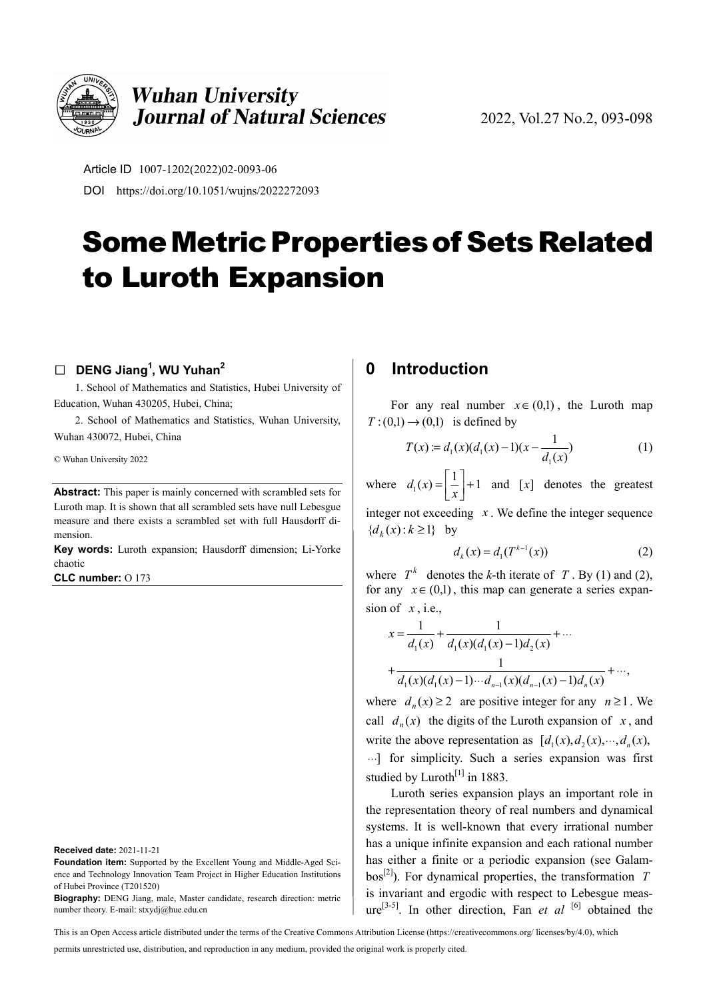

## **Wuhan University Journal of Natural Sciences**

Article ID 1007-1202(2022)02-0093-06 DOI https://doi.org/10.1051/wujns/2022272093

# Some Metric Properties of Sets Related to Luroth Expansion

#### □ **DENG Jiang<sup>1</sup>, WU Yuhan<sup>2</sup>**

1. School of Mathematics and Statistics, Hubei University of Education, Wuhan 430205, Hubei, China;

2. School of Mathematics and Statistics, Wuhan University, Wuhan 430072, Hubei, China

© Wuhan University 2022

**Abstract:** This paper is mainly concerned with scrambled sets for Luroth map. It is shown that all scrambled sets have null Lebesgue measure and there exists a scrambled set with full Hausdorff dimension.

**Key words:** Luroth expansion; Hausdorff dimension; Li-Yorke chaotic

**CLC number:** O 173

#### **Received date:** 2021-11-21

**Foundation item:** Supported by the Excellent Young and Middle-Aged Science and Technology Innovation Team Project in Higher Education Institutions of Hubei Province (T201520)

Biography: DENG Jiang, male, Master candidate, research direction: metric number theory. E-mail: stxydi@hue.edu.cn

#### **0 Introduction**

For any real number  $x \in (0,1)$ , the Luroth map  $T:(0,1) \rightarrow (0,1)$  is defined by

$$
T(x) := d_1(x)(d_1(x) - 1)(x - \frac{1}{d_1(x)})
$$
\n(1)

where  $d_1(x) = \left[\frac{1}{x}\right] + 1$  $=\left[\frac{1}{x}\right]+1$  and  $[x]$  denotes the greatest

integer not exceeding  $\bar{x}$ . We define the integer sequence  ${d_k(x): k \geq 1}$  by

$$
d_k(x) = d_1(T^{k-1}(x))
$$
 (2)

where  $T^k$  denotes the *k*-th iterate of  $T$ . By (1) and (2), for any  $x \in (0,1)$ , this map can generate a series expansion of  $x$ , i.e.,

$$
x = \frac{1}{d_1(x)} + \frac{1}{d_1(x)(d_1(x) - 1)d_2(x)} + \dots
$$
  
+ 
$$
\frac{1}{d_1(x)(d_1(x) - 1)\dots d_{n-1}(x)(d_{n-1}(x) - 1)d_n(x)} + \dots,
$$

where  $d_n(x) \ge 2$  are positive integer for any  $n \ge 1$ . We call  $d_n(x)$  the digits of the Luroth expansion of x, and write the above representation as  $[d_1(x), d_2(x), \dots, d_n(x)]$  $\ldots$ ] for simplicity. Such a series expansion was first studied by Luroth $[1]$  in 1883.

Luroth series expansion plays an important role in the representation theory of real numbers and dynamical systems. It is well-known that every irrational number has a unique infinite expansion and each rational number has either a finite or a periodic expansion (see Galambos<sup>[2]</sup>). For dynamical properties, the transformation  $T$ is invariant and ergodic with respect to Lebesgue measure[3-5]. In other direction, Fan *et al* [6] obtained the

This is an Open Access article distributed under the terms of the Creative Commons Attribution License (https://creativecommons.org/ licenses/by/4.0), which

permits unrestricted use, distribution, and reproduction in any medium, provided the original work is properly cited.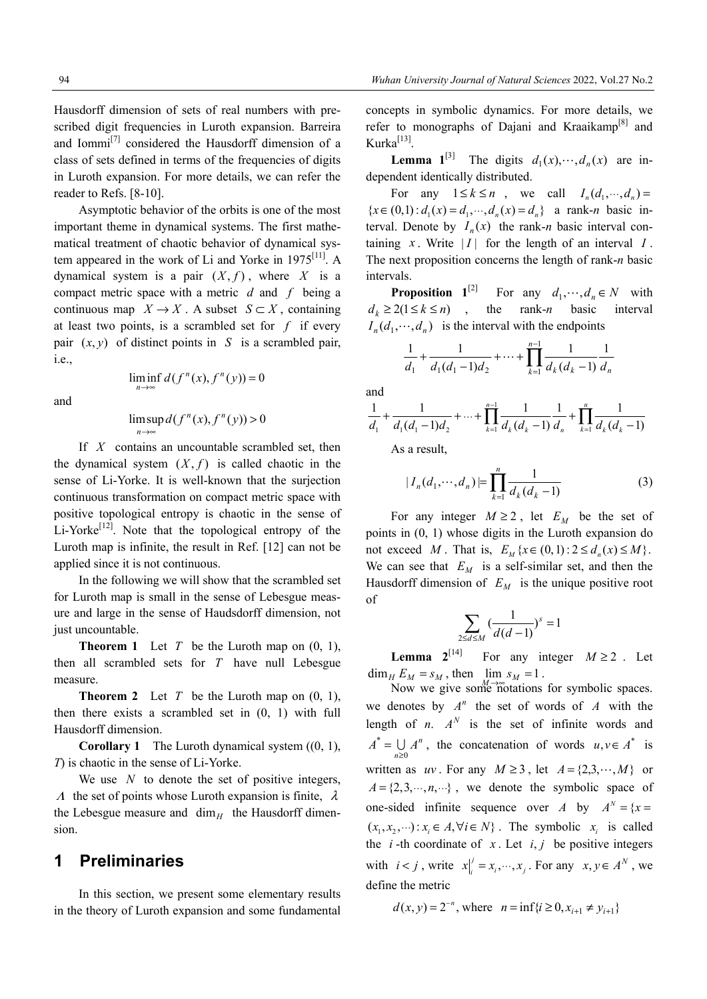Hausdorff dimension of sets of real numbers with prescribed digit frequencies in Luroth expansion. Barreira and Iommi<sup>[7]</sup> considered the Hausdorff dimension of a class of sets defined in terms of the frequencies of digits in Luroth expansion. For more details, we can refer the reader to Refs. [8-10].

Asymptotic behavior of the orbits is one of the most important theme in dynamical systems. The first mathematical treatment of chaotic behavior of dynamical system appeared in the work of Li and Yorke in  $1975^{[11]}$ . A dynamical system is a pair  $(X, f)$ , where X is a compact metric space with a metric *d* and *f* being a continuous map  $X \to X$ . A subset  $S \subset X$ , containing at least two points, is a scrambled set for *f* if every pair  $(x, y)$  of distinct points in *S* is a scrambled pair, i.e.,

and

$$
\liminf_{n\to\infty} d(f^n(x), f^n(y)) = 0
$$

$$
\limsup_{n\to\infty} d(f^n(x), f^n(y)) > 0
$$

If *X* contains an uncountable scrambled set, then the dynamical system  $(X, f)$  is called chaotic in the sense of Li-Yorke. It is well-known that the surjection continuous transformation on compact metric space with positive topological entropy is chaotic in the sense of Li-Yorke<sup>[12]</sup>. Note that the topological entropy of the Luroth map is infinite, the result in Ref. [12] can not be applied since it is not continuous.

In the following we will show that the scrambled set for Luroth map is small in the sense of Lebesgue measure and large in the sense of Haudsdorff dimension, not just uncountable.

**Theorem 1** Let  $T$  be the Luroth map on  $(0, 1)$ , then all scrambled sets for *T* have null Lebesgue measure.

**Theorem 2** Let  $T$  be the Luroth map on  $(0, 1)$ , then there exists a scrambled set in (0, 1) with full Hausdorff dimension.

**Corollary 1** The Luroth dynamical system ((0, 1), *T*) is chaotic in the sense of Li-Yorke.

We use *N* to denote the set of positive integers,  $\Lambda$  the set of points whose Luroth expansion is finite,  $\lambda$ the Lebesgue measure and  $\dim_H$  the Hausdorff dimension.

#### **1 Preliminaries**

In this section, we present some elementary results in the theory of Luroth expansion and some fundamental

concepts in symbolic dynamics. For more details, we refer to monographs of Dajani and Kraaikamp[8] and Kurka<sup>[13]</sup>.

**Lemma**  $1^{[3]}$  The digits  $d_1(x), \dots, d_n(x)$  are independent identically distributed.

For any  $1 \le k \le n$ , we call  $I_n(d_1, \dots, d_n) =$  ${x \in (0,1) : d_1(x) = d_1, \dots, d_n(x) = d_n}$  a rank-*n* basic interval. Denote by  $I_n(x)$  the rank-*n* basic interval containing  $x$ . Write  $|I|$  for the length of an interval  $I$ . The next proposition concerns the length of rank-*n* basic intervals.

**Proposition**  $\mathbf{1}^{[2]}$  For any  $d_1, \dots, d_n \in N$  with  $d_k \ge 2(1 \le k \le n)$ , the rank-*n* basic interval  $I_n(d_1, \dots, d_n)$  is the interval with the endpoints

$$
\frac{1}{d_1} + \frac{1}{d_1(d_1 - 1)d_2} + \dots + \prod_{k=1}^{n-1} \frac{1}{d_k(d_k - 1)} \frac{1}{d_n}
$$

and  
\n
$$
\frac{1}{d_1} + \frac{1}{d_1(d_1 - 1)d_2} + \dots + \prod_{k=1}^{n-1} \frac{1}{d_k(d_k - 1)} \frac{1}{d_n} + \prod_{k=1}^{n} \frac{1}{d_k(d_k - 1)}
$$

As a result,

$$
|I_n(d_1, \cdots, d_n)| = \prod_{k=1}^n \frac{1}{d_k(d_k - 1)}
$$
 (3)

For any integer  $M \ge 2$ , let  $E_M$  be the set of points in (0, 1) whose digits in the Luroth expansion do not exceed *M*. That is,  $E_M$  { $x \in (0,1) : 2 \le d_n(x) \le M$  }. We can see that  $E_M$  is a self-similar set, and then the Hausdorff dimension of  $E_M$  is the unique positive root of

$$
\sum_{2\leq d\leq M} \big(\frac{1}{d(d-1)}\big)^s=1
$$

**Lemma 2**<sup>[14]</sup> For any integer  $M \ge 2$ . Let  $\dim_H E_M = s_M$ , then  $\lim_{M \to \infty} s_M = 1$ .

Now we give some notations for symbolic spaces. we denotes by  $A^n$  the set of words of  $A$  with the length of *n*.  $A^N$  is the set of infinite words and *n*  $A^* = \bigcup_{n\geq 0} A$ \*  $=\bigcup_{n\geq 0} A^n$ , the concatenation of words  $u, v \in A^*$  is written as *uv*. For any  $M \ge 3$ , let  $A = \{2,3,\dots,M\}$  or  $A = \{2, 3, \dots, n, \dots\}$ , we denote the symbolic space of one-sided infinite sequence over *A* by  $A^N = \{x =$  $(x_1, x_2, \dots)$ :  $x_i \in A, \forall i \in N$ . The symbolic  $x_i$  is called the  $i$ -th coordinate of  $x$ . Let  $i, j$  be positive integers with  $i < j$ , write  $x_i^j = x_i, \dots, x_j$ . For any  $x, y \in A^N$ , we define the metric

$$
d(x, y) = 2^{-n}
$$
, where  $n = \inf\{i \ge 0, x_{i+1} \ne y_{i+1}\}\$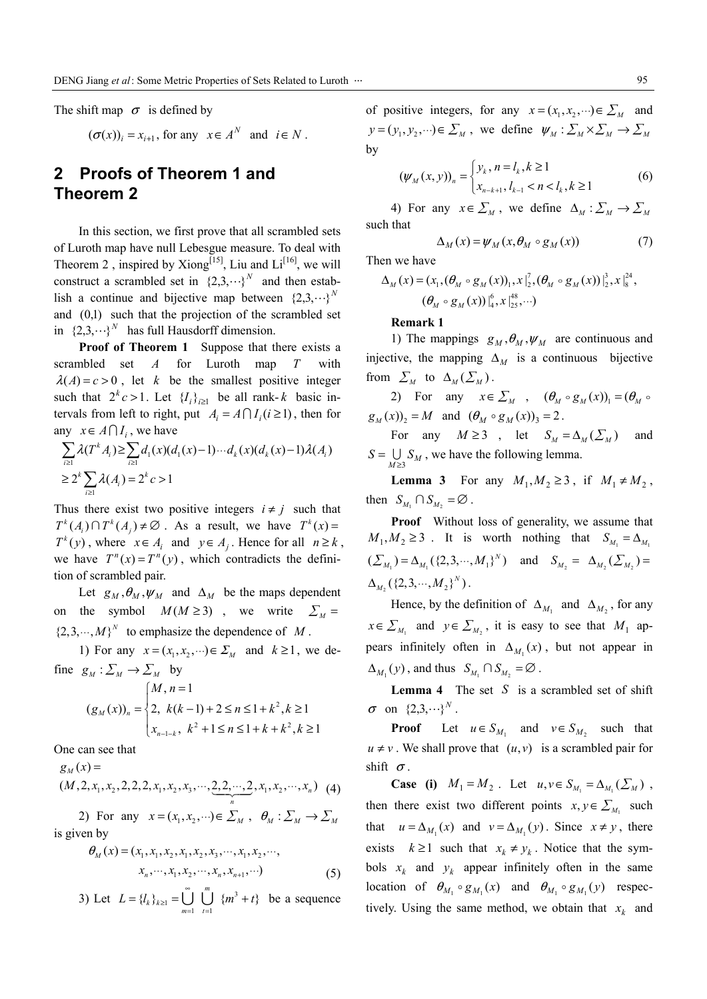The shift map  $\sigma$  is defined by

 $({\sigma}(x))_i = x_{i+1}$ , for any  $x \in A^N$  and  $i \in N$ .

## **2 Proofs of Theorem 1 and Theorem 2**

In this section, we first prove that all scrambled sets of Luroth map have null Lebesgue measure. To deal with Theorem 2, inspired by Xiong<sup>[15]</sup>, Liu and  $Li<sup>[16]</sup>$ , we will construct a scrambled set in  $\{2,3,\dots\}^N$  and then establish a continue and bijective map between  $\{2,3,\cdots\}^N$ and  $(0,1)$  such that the projection of the scrambled set in  ${2,3,\dots}^N$  has full Hausdorff dimension.

**Proof of Theorem 1** Suppose that there exists a scrambled set *A* for Luroth map *T* with  $\lambda(A) = c > 0$ , let *k* be the smallest positive integer such that  $2^{k} c > 1$ . Let  $\{I_{i}\}_{i\geq1}$  be all rank-k basic intervals from left to right, put  $A_i = A \bigcap I_i (i \ge 1)$ , then for any  $x \in A \cap I_i$ , we have

$$
\sum_{i\geq 1} \lambda(T^k A_i) \geq \sum_{i\geq 1} d_1(x)(d_1(x) - 1) \cdots d_k(x)(d_k(x) - 1) \lambda(A_i)
$$
  

$$
\geq 2^k \sum_{i\geq 1} \lambda(A_i) = 2^k c > 1
$$

Thus there exist two positive integers  $i \neq j$  such that  $T^{k}(A_i) \cap T^{k}(A_i) \neq \emptyset$ . As a result, we have  $T^{k}(x) =$  $T^k(y)$ , where  $x \in A_i$  and  $y \in A_i$ . Hence for all  $n \geq k$ , we have  $T^{n}(x) = T^{n}(y)$ , which contradicts the definition of scrambled pair.

Let  $g_M$ ,  $\theta_M$ ,  $\psi_M$  and  $\Delta_M$  be the maps dependent on the symbol  $M(M \ge 3)$ , we write  $\sum_{M=3}$  ${2, 3, \dots, M}^N$  to emphasize the dependence of *M*.

1) For any  $x = (x_1, x_2, \dots) \in \Sigma_M$  and  $k \ge 1$ , we define  $g_M : \Sigma_M \to \Sigma_M$  by

$$
(g_M(x))_n = \begin{cases} M, n = 1 \\ 2, k(k-1) + 2 \le n \le 1 + k^2, k \ge 1 \\ x_{n-1-k}, k^2 + 1 \le n \le 1 + k + k^2, k \ge 1 \end{cases}
$$

One can see that

$$
g_M(x) = (M, 2, x_1, x_2, 2, 2, 2, x_1, x_2, x_3, \cdots, \underbrace{2, 2, \cdots, 2}_{n}, x_1, x_2, \cdots, x_n) \tag{4}
$$

2) For any  $x = (x_1, x_2, \dots) \in \sum_M$ ,  $\theta_M : \sum_M \to \sum_M$ is given by

$$
\theta_{M}(x) = (x_{1}, x_{1}, x_{2}, x_{1}, x_{2}, x_{3}, \cdots, x_{1}, x_{2}, \cdots, x_{n}, x_{n+1}, \cdots) \tag{5}
$$

3) Let  $L = \{l_k\}_{k \geq 1} = \bigcup_{m=1}^{\infty} \bigcup_{t=1}^{\infty} \{m^3\}$  ${ \{l_k\}}_{k\geq 1} = \bigcup_{m=1}^{\infty} \bigcup_{t=1}^{m} \{m^3+t\}$  $L = \{l_k\}_{k \ge 1} = \bigcup_{m=1}^{\infty} \bigcup_{t=1}^{m} \{m^3 + t\}$  be a sequence of positive integers, for any  $x = (x_1, x_2, \dots) \in \Sigma_M$  and  $y = (y_1, y_2, \dots) \in \Sigma_M$ , we define  $\psi_M : \Sigma_M \times \Sigma_M \to \Sigma_M$ by

$$
\left(\psi_{M}(x, y)\right)_{n} = \begin{cases} y_{k}, n = l_{k}, k \ge 1\\ x_{n-k+1}, l_{k-1} < n < l_{k}, k \ge 1 \end{cases}
$$
\n<sup>(6)</sup>

4) For any  $x \in \Sigma_M$ , we define  $\Delta_M : \Sigma_M \to \Sigma_M$ such that

$$
\Delta_M(x) = \psi_M(x, \theta_M \circ g_M(x)) \tag{7}
$$

Then we have

$$
\Delta_M(x) = (x_1, (\theta_M \circ g_M(x))_1, x\vert_2^7, (\theta_M \circ g_M(x))\vert_2^3, x\vert_8^{24}, (\theta_M \circ g_M(x))\vert_4^6, x\vert_{25}^{48}, \cdots)
$$

#### **Remark 1**

1) The mappings  $g_M$ ,  $\theta_M$ ,  $\psi_M$  are continuous and injective, the mapping  $\Delta_M$  is a continuous bijective from  $\sum_M$  to  $\Delta_M(\sum_M)$ .

2) For any  $x \in \sum_{M}$ ,  $(\theta_M \circ g_M(x))_1 = (\theta_M \circ g_M(x))_1$  $g_M(x)_{2} = M$  and  $(\theta_M \circ g_M(x))_{3} = 2$ .

For any 
$$
M \ge 3
$$
, let  $S_M = \Delta_M(\Sigma_M)$  and  
\n $S = \bigcup_{M \ge 3} S_M$ , we have the following lemma.

**Lemma 3** For any  $M_1, M_2 \geq 3$ , if  $M_1 \neq M_2$ , then  $S_{M_1} \cap S_{M_2} = \emptyset$ .

**Proof** Without loss of generality, we assume that  $M_1, M_2 \geq 3$ . It is worth nothing that  $S_M = \Delta_M$  $(\sum_{M_1}) = \Delta_{M_1} (\{2, 3, \cdots, M_1\}^N)$  and  $S_{M_2} = \Delta_{M_2} (\sum_{M_2}) =$  $\Delta_{M_2} (\{2,3,\cdots,M_2\})^N$ .

Hence, by the definition of  $\Delta_{M_1}$  and  $\Delta_{M_2}$ , for any  $x \in \sum_{M_1}$  and  $y \in \sum_{M_2}$ , it is easy to see that  $M_1$  appears infinitely often in  $\Delta_{M_1}(x)$ , but not appear in  $\Delta_{M_1}(y)$ , and thus  $S_{M_1} \cap S_{M_2} = \emptyset$ .

**Lemma 4** The set *S* is a scrambled set of shift  $\sigma$  on  $\{2,3,\cdots\}^N$ .

**Proof** Let  $u \in S_{M_1}$  and  $v \in S_{M_2}$  such that  $u \neq v$ . We shall prove that  $(u, v)$  is a scrambled pair for shift  $\sigma$ .

**Case (i)**  $M_1 = M_2$ . Let  $u, v \in S_M = \Delta_M(\Sigma_M)$ , then there exist two different points  $x, y \in \sum_{M}$  such that  $u = \Delta_{M_1}(x)$  and  $v = \Delta_{M_1}(y)$ . Since  $x \neq y$ , there exists  $k \ge 1$  such that  $x_k \ne y_k$ . Notice that the symbols  $x_k$  and  $y_k$  appear infinitely often in the same location of  $\theta_{M_1} \circ g_{M_1}(x)$  and  $\theta_{M_1} \circ g_{M_1}(y)$  respectively. Using the same method, we obtain that  $x_k$  and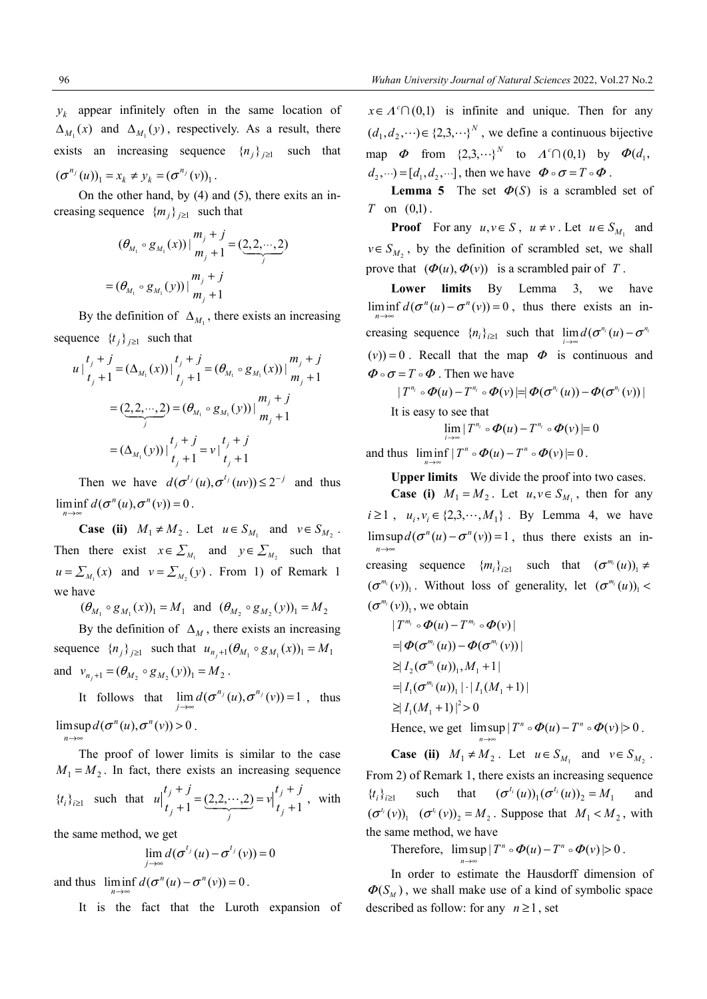$y_k$  appear infinitely often in the same location of  $\Delta_{M_1}(x)$  and  $\Delta_{M_1}(y)$ , respectively. As a result, there exists an increasing sequence  ${n_i}_{j=1}$  such that  $(\sigma^{n_j}(u))_1 = x_k \neq y_k = (\sigma^{n_j}(v))_1$ .

On the other hand, by (4) and (5), there exits an increasing sequence  ${m_j}_{j \geq 1}$  such that

$$
(\theta_{M_1} \circ g_{M_1}(x)) \Big|_{m_j+1}^{m_j+j} = (\underbrace{2,2,\cdots,2}_{j})
$$

$$
= (\theta_{M_1} \circ g_{M_1}(y)) \Big|_{m_j+1}^{m_j+j}
$$

By the definition of  $\Delta_{M_1}$ , there exists an increasing sequence  ${t_j}_{j \ge 1}$  such that

$$
u\Big|_{t_j+1}^{t_j+j} = (\Delta_{M_1}(x))\Big|_{t_j+1}^{t_j+j} = (\theta_{M_1} \circ g_{M_1}(x))\Big|_{m_j+1}^{m_j+j}
$$
  

$$
= (\underbrace{2,2,\cdots,2}_{j}) = (\theta_{M_1} \circ g_{M_1}(y))\Big|_{m_j+1}^{m_j+j}
$$
  

$$
= (\Delta_{M_1}(y))\Big|_{t_j+1}^{t_j+j} = v\Big|_{t_j+1}^{t_j+j}
$$

Then we have  $d(\sigma^{t_j}(u), \sigma^{t_j}(uv)) \leq 2^{-j}$  and thus  $\liminf_{n \to \infty} d(\sigma^n(u), \sigma^n(v)) = 0$ .

**Case (ii)**  $M_1 \neq M_2$ . Let  $u \in S_{M_1}$  and  $v \in S_{M_2}$ . Then there exist  $x \in \sum_{M_1}$  and  $y \in \sum_{M_2}$  such that  $u = \sum_{M_1}(x)$  and  $v = \sum_{M_2}(y)$ . From 1) of Remark 1 we have

 $(\theta_{M_1} \circ g_{M_1}(x))_1 = M_1$  and  $(\theta_{M_2} \circ g_{M_2}(y))_1 = M_2$ 

By the definition of  $\Delta_M$ , there exists an increasing sequence  ${n_j}_{j \ge 1}$  such that  $u_{n_j+1}(\theta_{M_1} \circ g_{M_1}(x))_1 = M_1$ and  $v_{n_i+1} = (\theta_M, \circ g_M, (y))_1 = M_2$ .

It follows that  $\lim_{j \to \infty} d(\sigma^{n_j}(u), \sigma^{n_j}(v)) = 1$ , thus  $\limsup d(\sigma^n(u), \sigma^n(v)) > 0$ .

 $\rightarrow \infty$ *n* The proof of lower limits is similar to the case  $M_1 = M_2$ . In fact, there exists an increasing sequence

$$
{t_i}_{i\geq 1}
$$
 such that  $u \Big|_{t_j+1}^{t_j+j} = (2,2,\dots,2) = v \Big|_{t_j+1}^{t_j+j}$ , with

the same method, we get

$$
\lim_{j\to\infty}d(\sigma^{t_j}(u)-\sigma^{t_j}(v))=0
$$

and thus  $\liminf_{n \to \infty} d(\sigma^n(u) - \sigma^n(v)) = 0$ .

It is the fact that the Luroth expansion of

 $x \in \Lambda^c \cap (0,1)$  is infinite and unique. Then for any  $(d_1, d_2, \dots) \in \{2, 3, \dots\}^N$ , we define a continuous bijective map  $\Phi$  from  $\{2,3,\cdots\}^N$  to  $\Lambda^c \cap (0,1)$  by  $\Phi(d_1,$  $d_1$ ,  $\dots$ ) = [ $d_1$ ,  $d_2$ ,  $\dots$ ], then we have  $\boldsymbol{\Phi} \circ \boldsymbol{\sigma} = T \circ \boldsymbol{\Phi}$ .

**Lemma 5** The set  $\Phi(S)$  is a scrambled set of *T* on  $(0,1)$ .

**Proof** For any  $u, v \in S$ ,  $u \neq v$ . Let  $u \in S_M$  and  $v \in S_M$ , by the definition of scrambled set, we shall prove that  $( \Phi(u), \Phi(v) )$  is a scrambled pair of T.

**Lower limits** By Lemma 3, we have  $\liminf_{n \to \infty} d(\sigma^n(u) - \sigma^n(v)) = 0$ , thus there exists an increasing sequence  $\{n_i\}_{i\geq 1}$  such that  $\lim_{i\to\infty} d(\sigma^{n_i}(u)-\sigma^n)$  $(v) = 0$ . Recall that the map  $\Phi$  is continuous and  $\boldsymbol{\Phi} \circ \boldsymbol{\sigma} = T \circ \boldsymbol{\Phi}$ . Then we have

$$
|T^{n_i} \circ \Phi(u) - T^{n_i} \circ \Phi(v) | = |\Phi(\sigma^{n_i}(u)) - \Phi(\sigma^{n_i}(v))|
$$
  
It is easy to see that  

$$
\lim_{i \to \infty} |T^{n_i} \circ \Phi(u) - T^{n_i} \circ \Phi(v) | = 0
$$

and thus  $\liminf_{n\to\infty} |T^n \circ \Phi(u) - T^n \circ \Phi(v)| = 0$ .

**Upper limits** We divide the proof into two cases. **Case (i)**  $M_1 = M_2$ . Let  $u, v \in S_M$ , then for any

 $i \ge 1$ ,  $u_i, v_i \in \{2, 3, \dots, M_1\}$ . By Lemma 4, we have  $\limsup d(\sigma^n(u) - \sigma^n(v)) = 1$ , thus there exists an in- $\rightarrow \infty$ *n* creasing sequence  ${ m_i }_{i \geq 1}$  such that  $(\sigma^{m_i}(u))_1 \neq$  $(\sigma^{m_i}(v))_1$ . Without loss of generality, let  $(\sigma^{m_i}(u))_1$  $(\sigma^{m_i}(v))_1$ , we obtain

$$
|T^{m_i} \circ \Phi(u) - T^{m_i} \circ \Phi(v)|
$$
  
=  $|\Phi(\sigma^{m_i}(u)) - \Phi(\sigma^{m_i}(v))|$   
 $\geq |I_2(\sigma^{m_i}(u))_1, M_1 + 1|$   
=  $|I_1(\sigma^{m_i}(u))_1| \cdot |I_1(M_1 + 1)|$   
 $\geq |I_1(M_1 + 1)|^2 > 0$   
Hence, we get  $\limsup_{n \to \infty} |T^n \circ \Phi(u) - T^n \circ \Phi(v)| > 0$ .

**Case (ii)**  $M_1 \neq M_2$ . Let  $u \in S_M$  and  $v \in S_M$ . From 2) of Remark 1, there exists an increasing sequence  ${t_i}_{i \ge 1}$  such that  $(\sigma^{t_i}(u))_1 (\sigma^{t_i}(u))_2 = M_1$  and  $({\sigma}^{t_i}(v))_i$   $({\sigma}^{t_i}(v))_i = M_i$ . Suppose that  $M_1 < M_2$ , with the same method, we have

Therefore,  $\limsup | T^n \circ \Phi(u) - T^n \circ \Phi(v) | > 0$ .

*n*  $\rightarrow \infty$ 

In order to estimate the Hausdorff dimension of  $\Phi(S_{\mu})$ , we shall make use of a kind of symbolic space described as follow: for any  $n \ge 1$ , set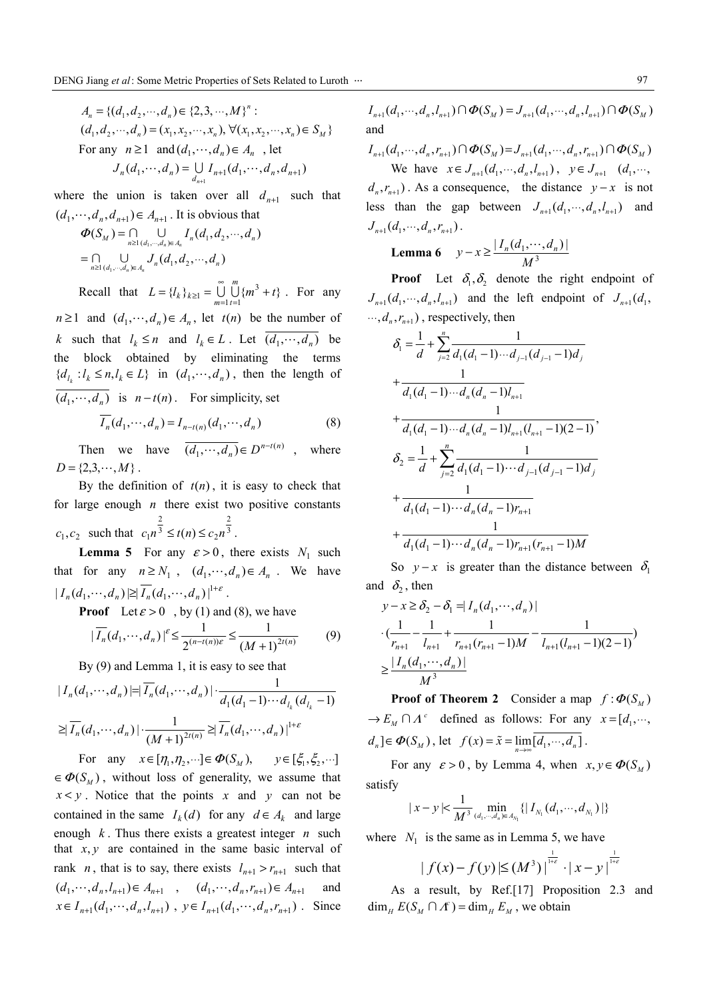$$
A_n = \{ (d_1, d_2, \dots, d_n) \in \{2, 3, \dots, M\}^n :
$$
  
\n
$$
(d_1, d_2, \dots, d_n) = (x_1, x_2, \dots, x_n), \forall (x_1, x_2, \dots, x_n) \in S_M \}
$$
  
\nFor any  $n \ge 1$  and  $(d_1, \dots, d_n) \in A_n$ , let  
\n
$$
J_n(d_1, \dots, d_n) = \bigcup_{d_{n+1}} I_{n+1}(d_1, \dots, d_n, d_{n+1})
$$

where the union is taken over all  $d_{n+1}$  such that  $(d_1, \dots, d_n, d_{n+1}) \in A_{n+1}$ . It is obvious that

$$
\Phi(S_M) = \bigcap_{n \ge 1} \bigcup_{\substack{(d_1, \dots, d_n) \in A_n}} I_n(d_1, d_2, \dots, d_n)
$$
  
= 
$$
\bigcap_{n \ge 1} \bigcup_{\substack{(d_1, \dots, d_n) \in A_n}} J_n(d_1, d_2, \dots, d_n)
$$

Recall that  $L = \{l_k\}_{k \ge 1} = \bigcup_{m=1}^{\infty} \bigcup_{t=1}^{m} \{m^3 + t\}$ . For any  $n \ge 1$  and  $(d_1, \dots, d_n) \in A_n$ , let  $t(n)$  be the number of *k* such that  $l_k \leq n$  and  $l_k \in L$ . Let  $\overline{(d_1, \dots, d_n)}$  be the block obtained by eliminating the terms  ${d_l$ ,  $l_k \leq n, l_k \in L}$  in  $(d_1, \dots, d_n)$ , then the length of  $\overline{(d_1, \dots, d_n)}$  is  $n - t(n)$ . For simplicity, set

$$
I_n(d_1, \cdots, d_n) = I_{n-t(n)}(d_1, \cdots, d_n)
$$
 (8)

Then we have  $\overline{(d_1, \dots, d_n)} \in D^{n-t(n)}$ , where  $D = \{2, 3, \cdots, M\}$ .

By the definition of  $t(n)$ , it is easy to check that for large enough  $n$  there exist two positive constants  $c_1, c_2$  such that  $c_1 n^3 \le t(n) \le c_2 n^3$ 2  $3 \leq t(n) \leq c_2$ 2  $c_1 n^3 \le t(n) \le c_2 n^3$ .

**Lemma 5** For any  $\varepsilon > 0$ , there exists  $N_1$  such that for any  $n \ge N_1$ ,  $(d_1, \dots, d_n) \in A_n$ . We have  $|I_n(d_1, \dots, d_n)| \geq |T_n(d_1, \dots, d_n)|^{1+\varepsilon}.$ 

**Proof** Let  $\varepsilon > 0$ , by (1) and (8), we have

$$
|\overline{I_n}(d_1,\cdots,d_n)|^{\epsilon} \le \frac{1}{2^{(n-t(n))\epsilon}} \le \frac{1}{(M+1)^{2t(n)}}\tag{9}
$$

By (9) and Lemma 1, it is easy to see that

$$
|I_n(d_1,\dots,d_n)| = |\overline{I_n}(d_1,\dots,d_n)| \cdot \frac{1}{d_1(d_1-1)\cdots d_{l_k}(d_{l_k}-1)}
$$
  

$$
\geq |\overline{I_n}(d_1,\dots,d_n)| \cdot \frac{1}{(M+1)^{2t(n)}} \geq |\overline{I_n}(d_1,\dots,d_n)|^{1+\varepsilon}
$$

For any  $x \in [\eta_1, \eta_2, \dots] \in \Phi(S_\mathcal{M}), \quad y \in [\xi_1, \xi_2, \dots]$  $\in \Phi(S_{\mu})$ , without loss of generality, we assume that  $x < y$ . Notice that the points *x* and *y* can not be contained in the same  $I_k(d)$  for any  $d \in A_k$  and large enough  $k$ . Thus there exists a greatest integer  $n$  such that  $x, y$  are contained in the same basic interval of rank *n*, that is to say, there exists  $l_{n+1} > r_{n+1}$  such that  $(d_1, \dots, d_n, l_{n+1}) \in A_{n+1}$ ,  $(d_1, \dots, d_n, r_{n+1}) \in A_{n+1}$  and  $x \in I_{n+1}(d_1, \dots, d_n, l_{n+1})$ ,  $y \in I_{n+1}(d_1, \dots, d_n, r_{n+1})$ . Since

 $I_{n+1}(d_1, \dots, d_n, l_{n+1}) \cap \Phi(S_M) = J_{n+1}(d_1, \dots, d_n, l_{n+1}) \cap \Phi(S_M)$ and

$$
I_{n+1}(d_1, \dots, d_n, r_{n+1}) \cap \Phi(S_M) = J_{n+1}(d_1, \dots, d_n, r_{n+1}) \cap \Phi(S_M)
$$
  
We have  $x \in J_{n+1}(d_1, \dots, d_n, l_{n+1})$ ,  $y \in J_{n+1}(d_1, \dots, d_n, r_{n+1})$ . As a consequence, the distance  $y - x$  is not less than the gap between  $J_{n+1}(d_1, \dots, d_n, l_{n+1})$  and  $J_{n+1}(d_1, \dots, d_n, r_{n+1})$ .

**Lemma 6**  $y - x \ge \frac{|I_n(d_1, \dots, d_n)|}{M^3}$ *M*  $y - x \geq \frac{|I_n(d_1, \dots, d_n)|}{|I_n|^2}$ 

**Proof** Let  $\delta_1, \delta_2$  denote the right endpoint of  $J_{n+1}(d_1, \dots, d_n, l_{n+1})$  and the left endpoint of  $J_{n+1}(d_1, \dots, d_n)$  $\cdots$ ,  $d_n$ ,  $r_{n+1}$ ), respectively, then

$$
\delta_{1} = \frac{1}{d} + \sum_{j=2}^{n} \frac{1}{d_{1}(d_{1}-1)\cdots d_{j-1}(d_{j-1}-1)d_{j}}
$$
\n
$$
+ \frac{1}{d_{1}(d_{1}-1)\cdots d_{n}(d_{n}-1)l_{n+1}}
$$
\n
$$
+ \frac{1}{d_{1}(d_{1}-1)\cdots d_{n}(d_{n}-1)l_{n+1}(l_{n+1}-1)(2-1)},
$$
\n
$$
\delta_{2} = \frac{1}{d} + \sum_{j=2}^{n} \frac{1}{d_{1}(d_{1}-1)\cdots d_{j-1}(d_{j-1}-1)d_{j}}
$$
\n
$$
+ \frac{1}{d_{1}(d_{1}-1)\cdots d_{n}(d_{n}-1)r_{n+1}}
$$
\n
$$
+ \frac{1}{d_{1}(d_{1}-1)\cdots d_{n}(d_{n}-1)r_{n+1}(r_{n+1}-1)M}
$$

So  $y - x$  is greater than the distance between  $\delta_1$ and  $\delta_2$ , then

$$
y-x \ge \delta_2 - \delta_1 = |I_n(d_1, \dots, d_n)|
$$
  

$$
\cdot \left( \frac{1}{r_{n+1}} - \frac{1}{l_{n+1}} + \frac{1}{r_{n+1}(r_{n+1} - 1)M} - \frac{1}{l_{n+1}(l_{n+1} - 1)(2-1)} \right)
$$
  

$$
\ge \frac{|I_n(d_1, \dots, d_n)|}{M^3}
$$

**Proof of Theorem 2** Consider a map  $f : \Phi(S_M)$  $\rightarrow$  *E<sub>M</sub>*  $\cap$  *A<sup>c</sup>* defined as follows: For any  $x = [d_1, \dots, d_n]$  $d_n \in \Phi(S_M)$ , let  $f(x) = \tilde{x} = \lim_{n \to \infty} [d_1, \dots, d_n].$ 

For any  $\varepsilon > 0$ , by Lemma 4, when  $x, y \in \Phi(S_\mu)$ satisfy

$$
|x-y| < \frac{1}{M^3} \min_{(d_1,\dots,d_n) \in A_{N_1}} \{ |I_{N_1}(d_1,\dots,d_{N_1})| \}
$$

where  $N_1$  is the same as in Lemma 5, we have

$$
|f(x)-f(y)| \leq (M^3)|^{\frac{1}{1+\epsilon}} \cdot |x-y|^{\frac{1}{1+\epsilon}}
$$

As a result, by Ref.[17] Proposition 2.3 and  $\dim_H E(S_M \cap A^c) = \dim_H E_M$ , we obtain